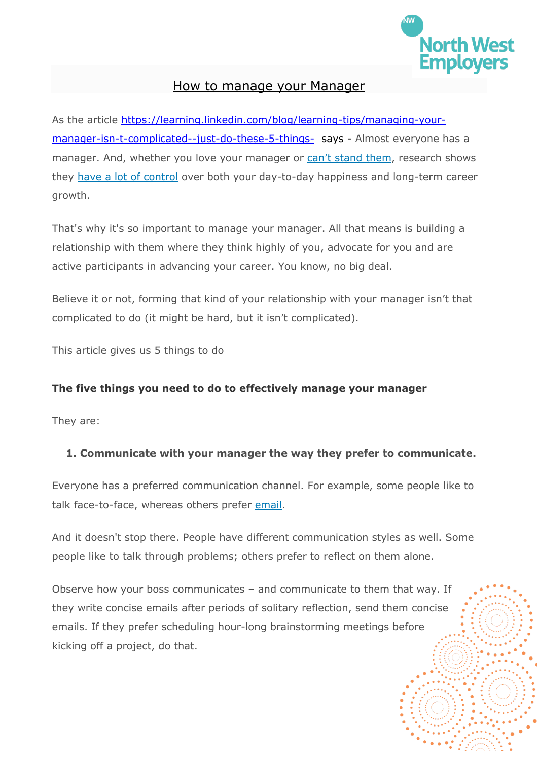

## How to manage your Manager

As the article [https://learning.linkedin.com/blog/learning-tips/managing-your](https://learning.linkedin.com/blog/learning-tips/managing-your-manager-isn-t-complicated--just-do-these-5-things-)[manager-isn-t-complicated--just-do-these-5-things-](https://learning.linkedin.com/blog/learning-tips/managing-your-manager-isn-t-complicated--just-do-these-5-things-) says - Almost everyone has a manager. And, whether you love your manager or [can't stand them](https://learning.linkedin.com/blog/working-together/how-to-deal-with-a-boss-you-don-t-like), research shows they [have a lot of control](https://learning.linkedin.com/blog/engaging-your-workforce/bosses-really-matter--here-are-8-stats-that-prove-it-) over both your day-to-day happiness and long-term career growth.

That's why it's so important to manage your manager. All that means is building a relationship with them where they think highly of you, advocate for you and are active participants in advancing your career. You know, no big deal.

Believe it or not, forming that kind of your relationship with your manager isn't that complicated to do (it might be hard, but it isn't complicated).

This article gives us 5 things to do

## **The five things you need to do to effectively manage your manager**

They are:

## **1. Communicate with your manager the way they prefer to communicate.**

Everyone has a preferred communication channel. For example, some people like to talk face-to-face, whereas others prefer [email.](https://learning.linkedin.com/blog/productivity-tips/the-email-mistakes-that-drive-people-crazy--and-how-to-avoid-the)

And it doesn't stop there. People have different communication styles as well. Some people like to talk through problems; others prefer to reflect on them alone.

Observe how your boss communicates – and communicate to them that way. If they write concise emails after periods of solitary reflection, send them concise emails. If they prefer scheduling hour-long brainstorming meetings before kicking off a project, do that.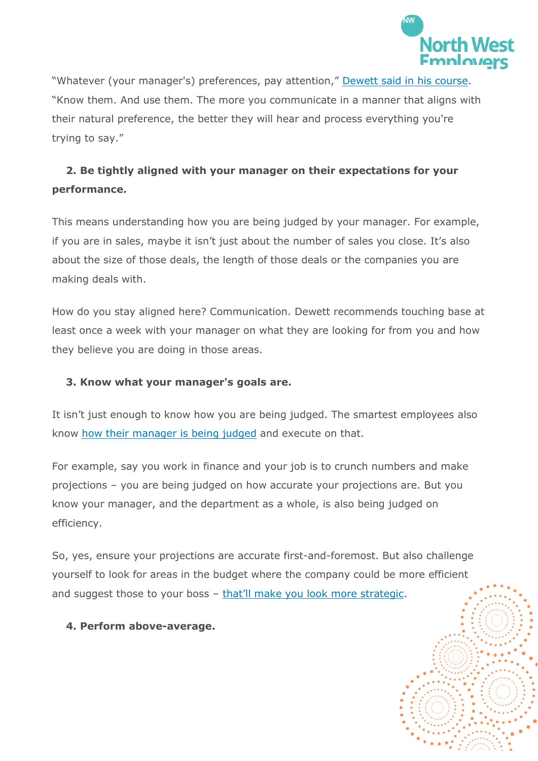

"Whatever (your manager's) preferences, pay attention," [Dewett said in his course.](https://www.linkedin.com/learning/management-tips-weekly?trk=lilblog_1-22-18_managing-your-manager_tl&cid=70132000001AyziAAC) "Know them. And use them. The more you communicate in a manner that aligns with their natural preference, the better they will hear and process everything you're trying to say."

# **2. Be tightly aligned with your manager on their expectations for your performance.**

This means understanding how you are being judged by your manager. For example, if you are in sales, maybe it isn't just about the number of sales you close. It's also about the size of those deals, the length of those deals or the companies you are making deals with.

How do you stay aligned here? Communication. Dewett recommends touching base at least once a week with your manager on what they are looking for from you and how they believe you are doing in those areas.

## **3. Know what your manager's goals are.**

It isn't just enough to know how you are being judged. The smartest employees also know [how their manager is being judged](https://learning.linkedin.com/blog/learning-tips/questions-ambitious-employees-should-ask-their-boss) and execute on that.

For example, say you work in finance and your job is to crunch numbers and make projections – you are being judged on how accurate your projections are. But you know your manager, and the department as a whole, is also being judged on efficiency.

So, yes, ensure your projections are accurate first-and-foremost. But also challenge yourself to look for areas in the budget where the company could be more efficient and suggest those to your boss – [that'll make you look m](https://learning.linkedin.com/blog/advancing-your-career/what-it-really-means-to-be-a-strategic-thinker)ore strategic.

**4. Perform above-average.**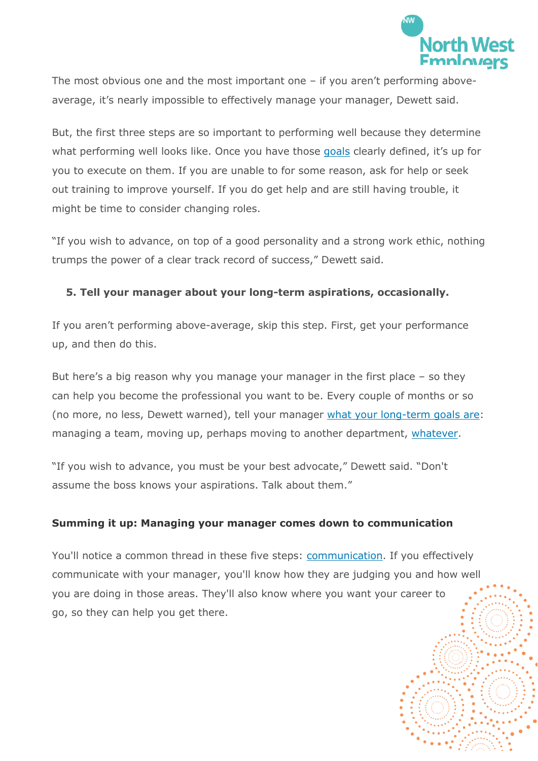

The most obvious one and the most important one – if you aren't performing aboveaverage, it's nearly impossible to effectively manage your manager, Dewett said.

But, the first three steps are so important to performing well because they determine what performing well looks like. Once you have those [goals](https://learning.linkedin.com/blog/learning-tips/most-people-are-bad-at-making-goals--here-s-how-to-do-it-right-) clearly defined, it's up for you to execute on them. If you are unable to for some reason, ask for help or seek out training to improve yourself. If you do get help and are still having trouble, it might be time to consider changing roles.

"If you wish to advance, on top of a good personality and a strong work ethic, nothing trumps the power of a clear track record of success," Dewett said.

## **5. Tell your manager about your long-term aspirations, occasionally.**

If you aren't performing above-average, skip this step. First, get your performance up, and then do this.

But here's a big reason why you manage your manager in the first place – so they can help you become the professional you want to be. Every couple of months or so (no more, no less, Dewett warned), tell your manager [what your long-term goals are:](https://learning.linkedin.com/blog/engaging-your-workforce/the-conversation-people-want-to-have-with-their-boss--but-aren-t) managing a team, moving up, perhaps moving to another department, [whatever.](https://learning.linkedin.com/blog/advancing-your-career/21-questions-that-will-help-you-determine-your-strengths--goals-)

"If you wish to advance, you must be your best advocate," Dewett said. "Don't assume the boss knows your aspirations. Talk about them."

#### **Summing it up: Managing your manager comes down to communication**

You'll notice a common thread in these five steps: [communication.](https://www.linkedin.com/learning/communicating-with-confidence?trk=lilblog_01-02-18_PULSE-Skills-Companies-Need-Most_tl) If you effectively communicate with your manager, you'll know how they are judging you and how well you are doing in those areas. They'll also know where you want your career to go, so they can help you get there.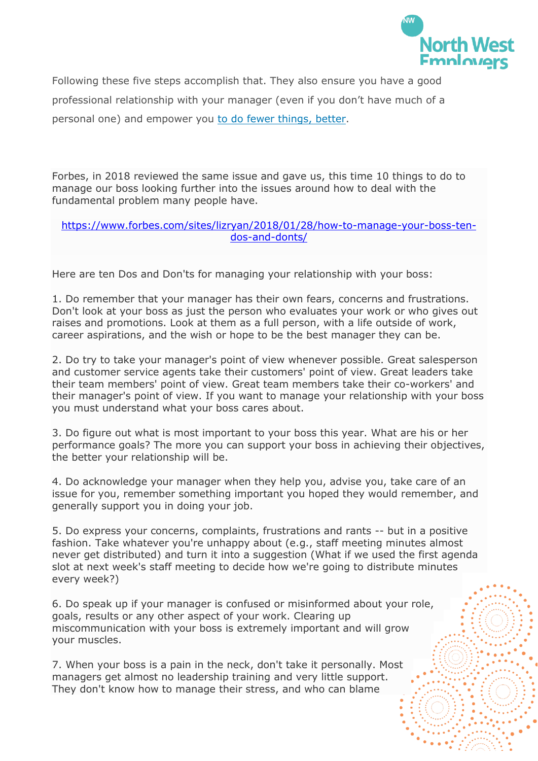

Following these five steps accomplish that. They also ensure you have a good professional relationship with your manager (even if you don't have much of a personal one) and empower you [to do fewer things, better.](https://learning.linkedin.com/blog/productivity-tips/want-to-be-irreplaceable-at-work--do-fewer-things--better)

Forbes, in 2018 reviewed the same issue and gave us, this time 10 things to do to manage our boss looking further into the issues around how to deal with the fundamental problem many people have.

#### [https://www.forbes.com/sites/lizryan/2018/01/28/how-to-manage-your-boss-ten](https://www.forbes.com/sites/lizryan/2018/01/28/how-to-manage-your-boss-ten-dos-and-donts/)[dos-and-donts/](https://www.forbes.com/sites/lizryan/2018/01/28/how-to-manage-your-boss-ten-dos-and-donts/)

Here are ten Dos and Don'ts for managing your relationship with your boss:

1. Do remember that your manager has their own fears, concerns and frustrations. Don't look at your boss as just the person who evaluates your work or who gives out raises and promotions. Look at them as a full person, with a life outside of work, career aspirations, and the wish or hope to be the best manager they can be.

2. Do try to take your manager's point of view whenever possible. Great salesperson and customer service agents take their customers' point of view. Great leaders take their team members' point of view. Great team members take their co-workers' and their manager's point of view. If you want to manage your relationship with your boss you must understand what your boss cares about.

3. Do figure out what is most important to your boss this year. What are his or her performance goals? The more you can support your boss in achieving their objectives, the better your relationship will be.

4. Do acknowledge your manager when they help you, advise you, take care of an issue for you, remember something important you hoped they would remember, and generally support you in doing your job.

5. Do express your concerns, complaints, frustrations and rants -- but in a positive fashion. Take whatever you're unhappy about (e.g., staff meeting minutes almost never get distributed) and turn it into a suggestion (What if we used the first agenda slot at next week's staff meeting to decide how we're going to distribute minutes every week?)

6. Do speak up if your manager is confused or misinformed about your role, goals, results or any other aspect of your work. Clearing up miscommunication with your boss is extremely important and will grow your muscles.

7. When your boss is a pain in the neck, don't take it personally. Most managers get almost no leadership training and very little support. They don't know how to manage their stress, and who can blame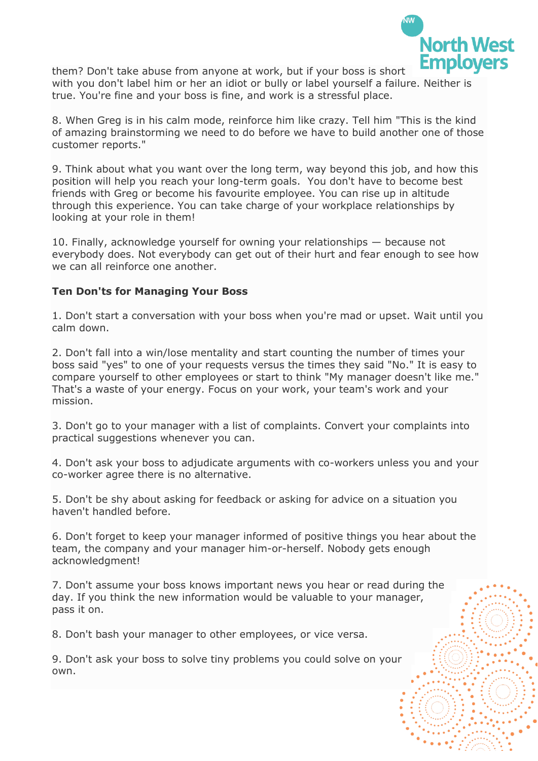

them? Don't take abuse from anyone at work, but if your boss is short with you don't label him or her an idiot or bully or label yourself a failure. Neither is true. You're fine and your boss is fine, and work is a stressful place.

8. When Greg is in his calm mode, reinforce him like crazy. Tell him "This is the kind of amazing brainstorming we need to do before we have to build another one of those customer reports."

9. Think about what you want over the long term, way beyond this job, and how this position will help you reach your long-term goals. You don't have to become best friends with Greg or become his favourite employee. You can rise up in altitude through this experience. You can take charge of your workplace relationships by looking at your role in them!

10. Finally, acknowledge yourself for owning your relationships — because not everybody does. Not everybody can get out of their hurt and fear enough to see how we can all reinforce one another.

#### **Ten Don'ts for Managing Your Boss**

1. Don't start a conversation with your boss when you're mad or upset. Wait until you calm down.

2. Don't fall into a win/lose mentality and start counting the number of times your boss said "yes" to one of your requests versus the times they said "No." It is easy to compare yourself to other employees or start to think "My manager doesn't like me." That's a waste of your energy. Focus on your work, your team's work and your mission.

3. Don't go to your manager with a list of complaints. Convert your complaints into practical suggestions whenever you can.

4. Don't ask your boss to adjudicate arguments with co-workers unless you and your co-worker agree there is no alternative.

5. Don't be shy about asking for feedback or asking for advice on a situation you haven't handled before.

6. Don't forget to keep your manager informed of positive things you hear about the team, the company and your manager him-or-herself. Nobody gets enough acknowledgment!

7. Don't assume your boss knows important news you hear or read during the day. If you think the new information would be valuable to your manager, pass it on.

8. Don't bash your manager to other employees, or vice versa.

9. Don't ask your boss to solve tiny problems you could solve on your own.